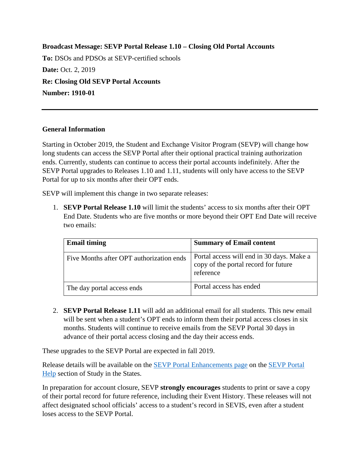**Broadcast Message: SEVP Portal Release 1.10 – Closing Old Portal Accounts To:** DSOs and PDSOs at SEVP-certified schools **Date: Oct. 2, 2019 Re: Closing Old SEVP Portal Accounts Number: 1910-01**

## **General Information**

Starting in October 2019, the Student and Exchange Visitor Program (SEVP) will change how long students can access the SEVP Portal after their optional practical training authorization ends. Currently, students can continue to access their portal accounts indefinitely. After the SEVP Portal upgrades to Releases 1.10 and 1.11, students will only have access to the SEVP Portal for up to six months after their OPT ends.

SEVP will implement this change in two separate releases:

1. **SEVP Portal Release 1.10** will limit the students' access to six months after their OPT End Date. Students who are five months or more beyond their OPT End Date will receive two emails:

| <b>Email timing</b>                      | <b>Summary of Email content</b>                                                                |
|------------------------------------------|------------------------------------------------------------------------------------------------|
| Five Months after OPT authorization ends | Portal access will end in 30 days. Make a<br>copy of the portal record for future<br>reference |
| The day portal access ends               | Portal access has ended                                                                        |

2. **SEVP Portal Release 1.11** will add an additional email for all students. This new email will be sent when a student's OPT ends to inform them their portal access closes in six months. Students will continue to receive emails from the SEVP Portal 30 days in advance of their portal access closing and the day their access ends.

These upgrades to the SEVP Portal are expected in fall 2019.

Release details will be available on the [SEVP Portal Enhancements page](https://studyinthestates.dhs.gov/sevis-help-hub/learn-more/sevp-portal-enhancements) on the [SEVP Portal](https://studyinthestates.dhs.gov/sevp-portal-help)  [Help](https://studyinthestates.dhs.gov/sevp-portal-help) section of Study in the States.

In preparation for account closure, SEVP **strongly encourages** students to print or save a copy of their portal record for future reference, including their Event History. These releases will not affect designated school officials' access to a student's record in SEVIS, even after a student loses access to the SEVP Portal.